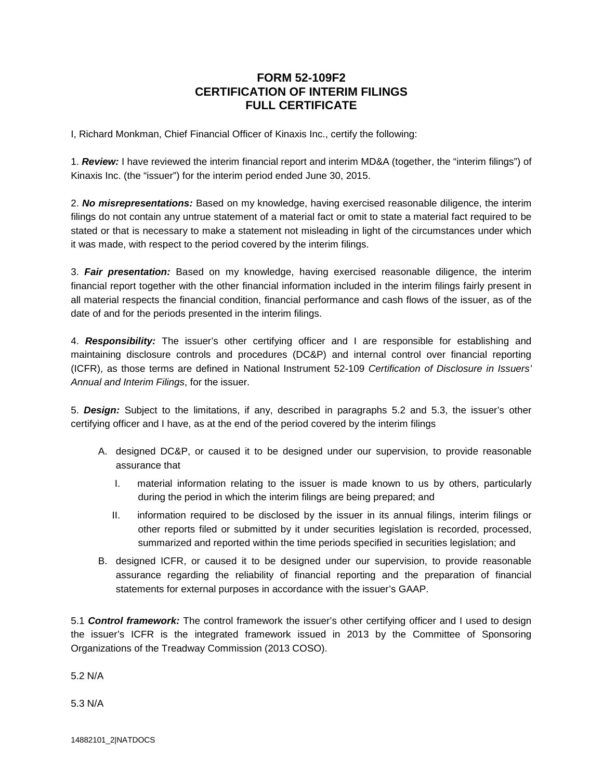## **FORM 52-109F2 CERTIFICATION OF INTERIM FILINGS FULL CERTIFICATE**

I, Richard Monkman, Chief Financial Officer of Kinaxis Inc., certify the following:

1. *Review:* I have reviewed the interim financial report and interim MD&A (together, the "interim filings") of Kinaxis Inc. (the "issuer") for the interim period ended June 30, 2015.

2. *No misrepresentations:* Based on my knowledge, having exercised reasonable diligence, the interim filings do not contain any untrue statement of a material fact or omit to state a material fact required to be stated or that is necessary to make a statement not misleading in light of the circumstances under which it was made, with respect to the period covered by the interim filings.

3. *Fair presentation:* Based on my knowledge, having exercised reasonable diligence, the interim financial report together with the other financial information included in the interim filings fairly present in all material respects the financial condition, financial performance and cash flows of the issuer, as of the date of and for the periods presented in the interim filings.

4. *Responsibility:* The issuer's other certifying officer and I are responsible for establishing and maintaining disclosure controls and procedures (DC&P) and internal control over financial reporting (ICFR), as those terms are defined in National Instrument 52-109 *Certification of Disclosure in Issuers' Annual and Interim Filings*, for the issuer.

5. *Design:* Subject to the limitations, if any, described in paragraphs 5.2 and 5.3, the issuer's other certifying officer and I have, as at the end of the period covered by the interim filings

- A. designed DC&P, or caused it to be designed under our supervision, to provide reasonable assurance that
	- I. material information relating to the issuer is made known to us by others, particularly during the period in which the interim filings are being prepared; and
	- II. information required to be disclosed by the issuer in its annual filings, interim filings or other reports filed or submitted by it under securities legislation is recorded, processed, summarized and reported within the time periods specified in securities legislation; and
- B. designed ICFR, or caused it to be designed under our supervision, to provide reasonable assurance regarding the reliability of financial reporting and the preparation of financial statements for external purposes in accordance with the issuer's GAAP.

5.1 *Control framework:* The control framework the issuer's other certifying officer and I used to design the issuer's ICFR is the integrated framework issued in 2013 by the Committee of Sponsoring Organizations of the Treadway Commission (2013 COSO).

5.2 N/A

5.3 N/A